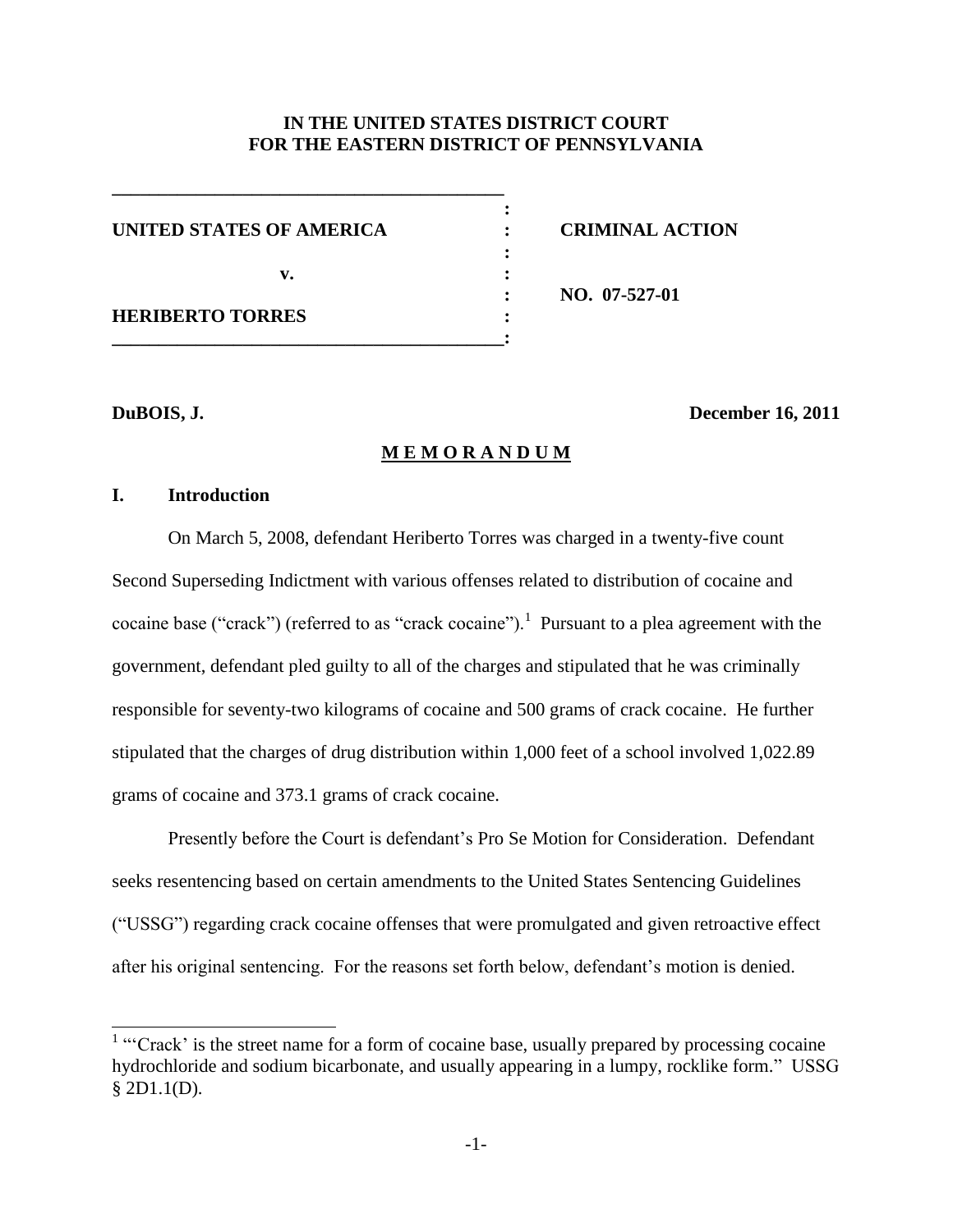# **IN THE UNITED STATES DISTRICT COURT FOR THE EASTERN DISTRICT OF PENNSYLVANIA**

| UNITED STATES OF AMERICA |  |
|--------------------------|--|
| v.                       |  |
| <b>HERIBERTO TORRES</b>  |  |
|                          |  |

**\_\_\_\_\_\_\_\_\_\_\_\_\_\_\_\_\_\_\_\_\_\_\_\_\_\_\_\_\_\_\_\_\_\_\_\_\_\_\_\_\_\_**

 $CRIMINAL$   $ACTION$ 

**: NO. 07-527-01**

 $\overline{a}$ 

#### **DuBOIS, J. December 16, 2011**

## **M E M O R A N D U M**

#### **I. Introduction**

On March 5, 2008, defendant Heriberto Torres was charged in a twenty-five count Second Superseding Indictment with various offenses related to distribution of cocaine and cocaine base ("crack") (referred to as "crack cocaine").<sup>1</sup> Pursuant to a plea agreement with the government, defendant pled guilty to all of the charges and stipulated that he was criminally responsible for seventy-two kilograms of cocaine and 500 grams of crack cocaine. He further stipulated that the charges of drug distribution within 1,000 feet of a school involved 1,022.89 grams of cocaine and 373.1 grams of crack cocaine.

Presently before the Court is defendant's Pro Se Motion for Consideration. Defendant seeks resentencing based on certain amendments to the United States Sentencing Guidelines (―USSG‖) regarding crack cocaine offenses that were promulgated and given retroactive effect after his original sentencing. For the reasons set forth below, defendant's motion is denied.

<sup>&</sup>lt;sup>1</sup> "Crack' is the street name for a form of cocaine base, usually prepared by processing cocaine hydrochloride and sodium bicarbonate, and usually appearing in a lumpy, rocklike form." USSG § 2D1.1(D).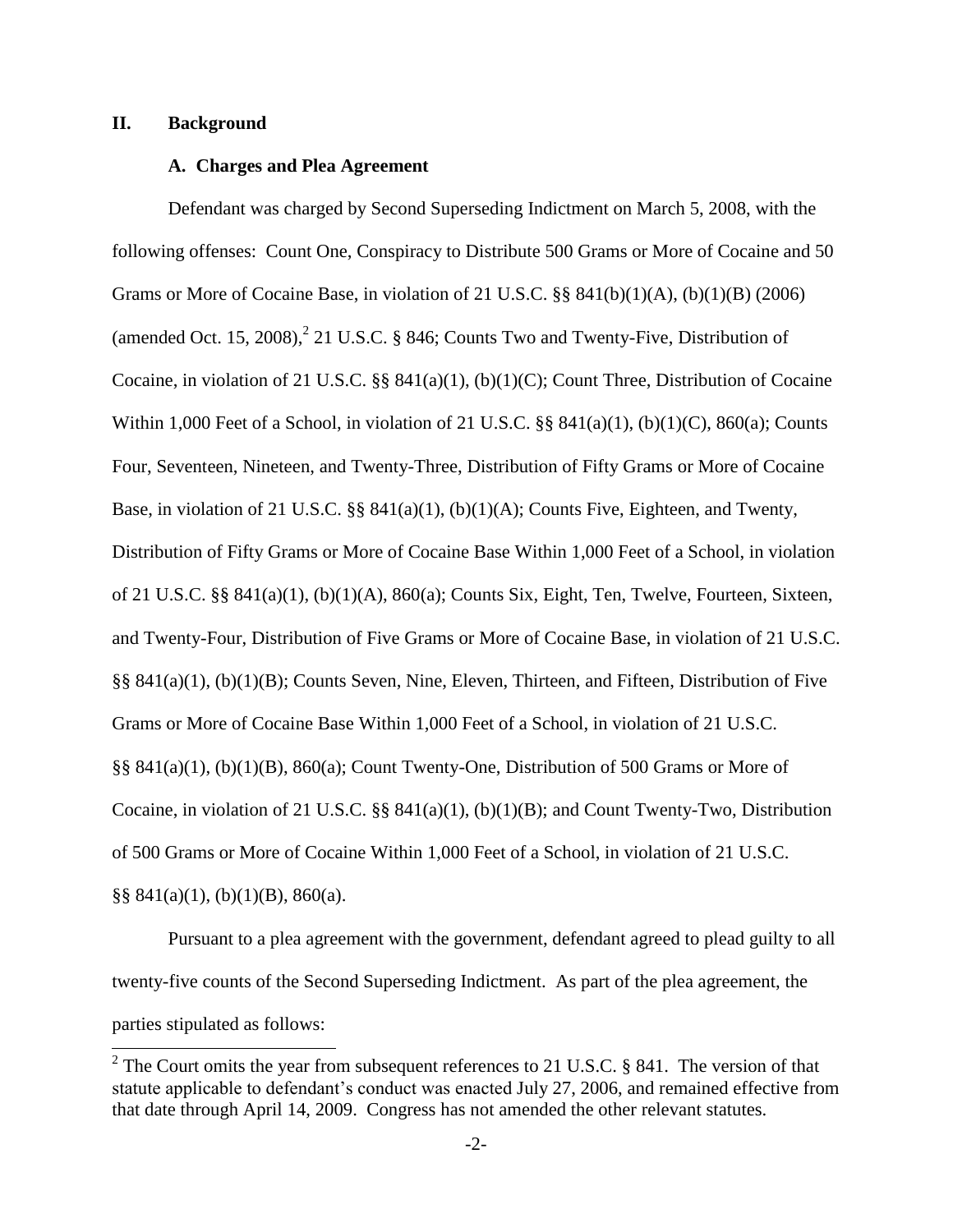## **II. Background**

### **A. Charges and Plea Agreement**

Defendant was charged by Second Superseding Indictment on March 5, 2008, with the following offenses: Count One, Conspiracy to Distribute 500 Grams or More of Cocaine and 50 Grams or More of Cocaine Base, in violation of 21 U.S.C. §§ 841(b)(1)(A), (b)(1)(B) (2006) (amended Oct. 15, 2008), $^{2}$  21 U.S.C. § 846; Counts Two and Twenty-Five, Distribution of Cocaine, in violation of 21 U.S.C. §§ 841(a)(1), (b)(1)(C); Count Three, Distribution of Cocaine Within 1,000 Feet of a School, in violation of 21 U.S.C.  $\S$  841(a)(1), (b)(1)(C), 860(a); Counts Four, Seventeen, Nineteen, and Twenty-Three, Distribution of Fifty Grams or More of Cocaine Base, in violation of 21 U.S.C.  $\S$ § 841(a)(1), (b)(1)(A); Counts Five, Eighteen, and Twenty, Distribution of Fifty Grams or More of Cocaine Base Within 1,000 Feet of a School, in violation of 21 U.S.C. §§ 841(a)(1), (b)(1)(A), 860(a); Counts Six, Eight, Ten, Twelve, Fourteen, Sixteen, and Twenty-Four, Distribution of Five Grams or More of Cocaine Base, in violation of 21 U.S.C. §§ 841(a)(1), (b)(1)(B); Counts Seven, Nine, Eleven, Thirteen, and Fifteen, Distribution of Five Grams or More of Cocaine Base Within 1,000 Feet of a School, in violation of 21 U.S.C. §§ 841(a)(1), (b)(1)(B), 860(a); Count Twenty-One, Distribution of 500 Grams or More of Cocaine, in violation of 21 U.S.C. §§ 841(a)(1), (b)(1)(B); and Count Twenty-Two, Distribution of 500 Grams or More of Cocaine Within 1,000 Feet of a School, in violation of 21 U.S.C.  $\S$ § 841(a)(1), (b)(1)(B), 860(a).

Pursuant to a plea agreement with the government, defendant agreed to plead guilty to all twenty-five counts of the Second Superseding Indictment. As part of the plea agreement, the parties stipulated as follows:

<sup>&</sup>lt;sup>2</sup> The Court omits the year from subsequent references to 21 U.S.C. § 841. The version of that statute applicable to defendant's conduct was enacted July 27, 2006, and remained effective from that date through April 14, 2009. Congress has not amended the other relevant statutes.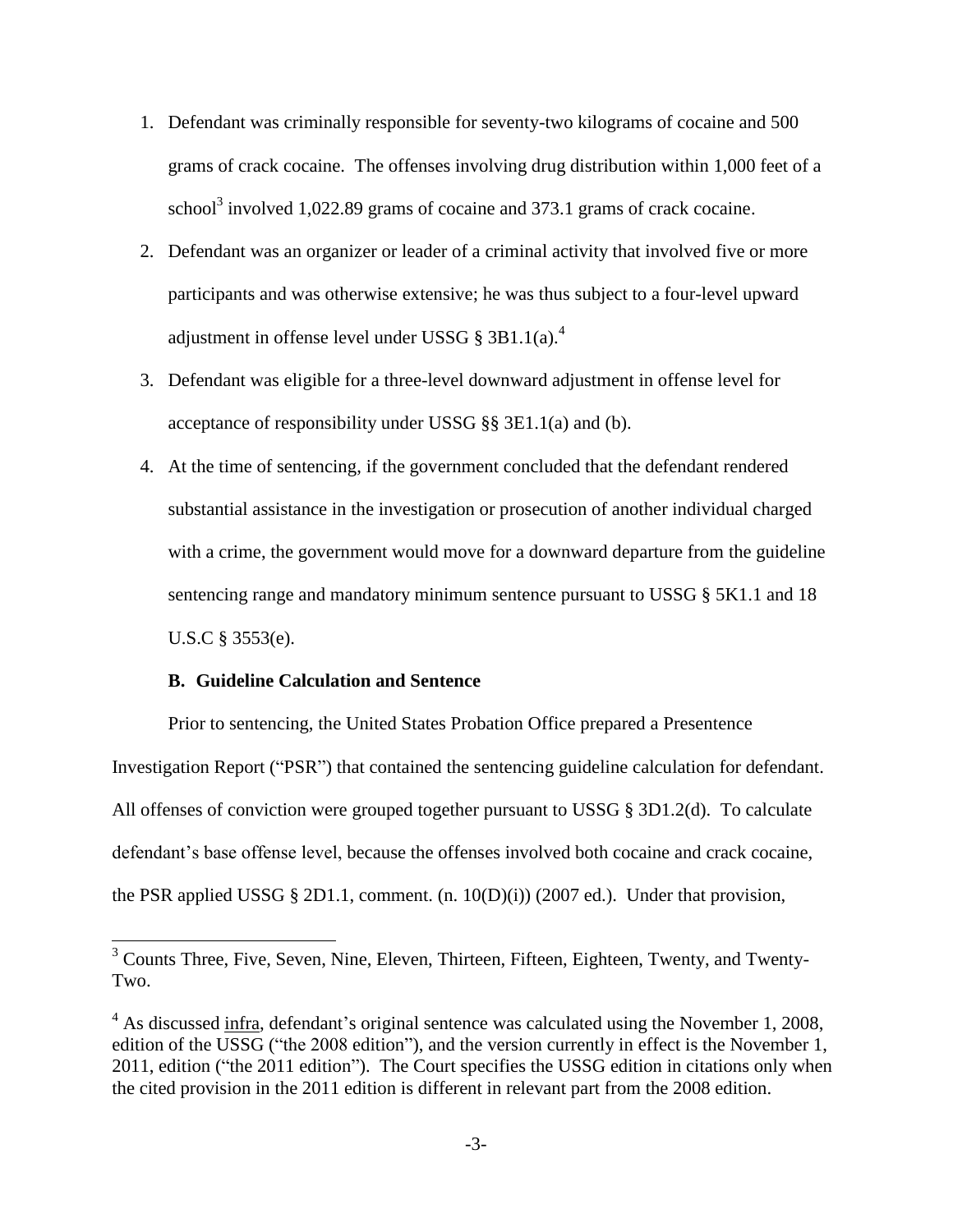- 1. Defendant was criminally responsible for seventy-two kilograms of cocaine and 500 grams of crack cocaine. The offenses involving drug distribution within 1,000 feet of a school<sup>3</sup> involved 1,022.89 grams of cocaine and 373.1 grams of crack cocaine.
- 2. Defendant was an organizer or leader of a criminal activity that involved five or more participants and was otherwise extensive; he was thus subject to a four-level upward adjustment in offense level under USSG §  $3B1.1(a)$ .<sup>4</sup>
- 3. Defendant was eligible for a three-level downward adjustment in offense level for acceptance of responsibility under USSG §§ 3E1.1(a) and (b).
- 4. At the time of sentencing, if the government concluded that the defendant rendered substantial assistance in the investigation or prosecution of another individual charged with a crime, the government would move for a downward departure from the guideline sentencing range and mandatory minimum sentence pursuant to USSG § 5K1.1 and 18 U.S.C § 3553(e).

## **B. Guideline Calculation and Sentence**

 $\overline{a}$ 

Prior to sentencing, the United States Probation Office prepared a Presentence Investigation Report ("PSR") that contained the sentencing guideline calculation for defendant. All offenses of conviction were grouped together pursuant to USSG § 3D1.2(d). To calculate defendant's base offense level, because the offenses involved both cocaine and crack cocaine, the PSR applied USSG § 2D1.1, comment. (n. 10(D)(i)) (2007 ed.). Under that provision,

 $3$  Counts Three, Five, Seven, Nine, Eleven, Thirteen, Fifteen, Eighteen, Twenty, and Twenty-Two.

 $4\text{ As discussed infra, defendant's original sentence was calculated using the November 1, 2008,}$ edition of the USSG ("the 2008 edition"), and the version currently in effect is the November 1, 2011, edition ("the 2011 edition"). The Court specifies the USSG edition in citations only when the cited provision in the 2011 edition is different in relevant part from the 2008 edition.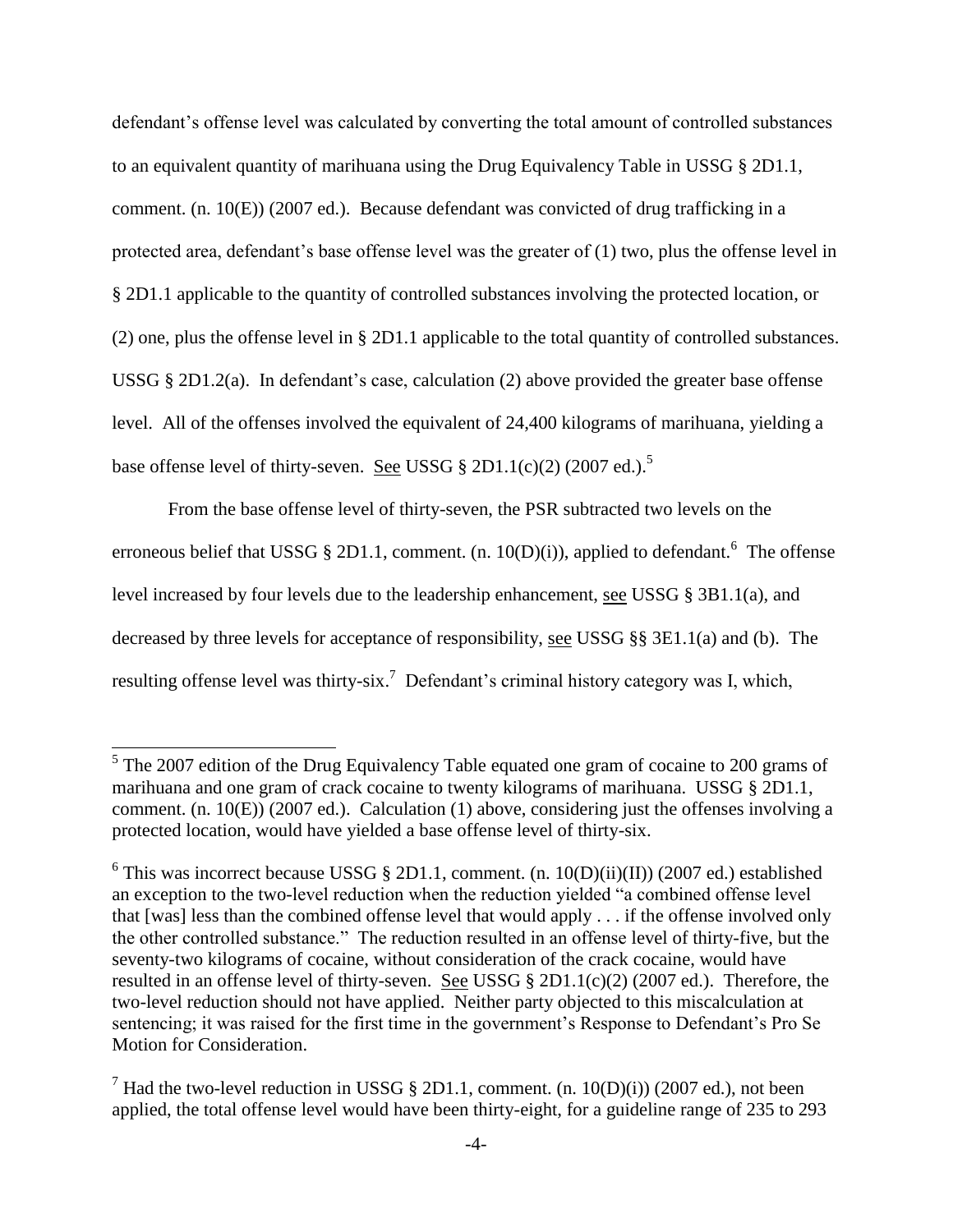defendant's offense level was calculated by converting the total amount of controlled substances to an equivalent quantity of marihuana using the Drug Equivalency Table in USSG § 2D1.1, comment. (n. 10(E)) (2007 ed.). Because defendant was convicted of drug trafficking in a protected area, defendant's base offense level was the greater of (1) two, plus the offense level in § 2D1.1 applicable to the quantity of controlled substances involving the protected location, or (2) one, plus the offense level in § 2D1.1 applicable to the total quantity of controlled substances. USSG § 2D1.2(a). In defendant's case, calculation (2) above provided the greater base offense level. All of the offenses involved the equivalent of 24,400 kilograms of marihuana, yielding a base offense level of thirty-seven. See USSG  $\S 2D1.1(c)(2)$  (2007 ed.).<sup>5</sup>

From the base offense level of thirty-seven, the PSR subtracted two levels on the erroneous belief that USSG § 2D1.1, comment. (n. 10(D)(i)), applied to defendant.<sup>6</sup> The offense level increased by four levels due to the leadership enhancement, see USSG § 3B1.1(a), and decreased by three levels for acceptance of responsibility, see USSG §§ 3E1.1(a) and (b). The resulting offense level was thirty-six.<sup>7</sup> Defendant's criminal history category was I, which,

<sup>&</sup>lt;sup>5</sup>The 2007 edition of the Drug Equivalency Table equated one gram of cocaine to 200 grams of marihuana and one gram of crack cocaine to twenty kilograms of marihuana. USSG § 2D1.1, comment. (n. 10(E)) (2007 ed.). Calculation (1) above, considering just the offenses involving a protected location, would have yielded a base offense level of thirty-six.

<sup>&</sup>lt;sup>6</sup> This was incorrect because USSG  $\S 2D1.1$ , comment. (n. 10(D)(ii)(II)) (2007 ed.) established an exception to the two-level reduction when the reduction yielded "a combined offense level that [was] less than the combined offense level that would apply . . . if the offense involved only the other controlled substance." The reduction resulted in an offense level of thirty-five, but the seventy-two kilograms of cocaine, without consideration of the crack cocaine, would have resulted in an offense level of thirty-seven. See USSG § 2D1.1(c)(2) (2007 ed.). Therefore, the two-level reduction should not have applied. Neither party objected to this miscalculation at sentencing; it was raised for the first time in the government's Response to Defendant's Pro Se Motion for Consideration.

<sup>&</sup>lt;sup>7</sup> Had the two-level reduction in USSG § 2D1.1, comment. (n. 10(D)(i)) (2007 ed.), not been applied, the total offense level would have been thirty-eight, for a guideline range of 235 to 293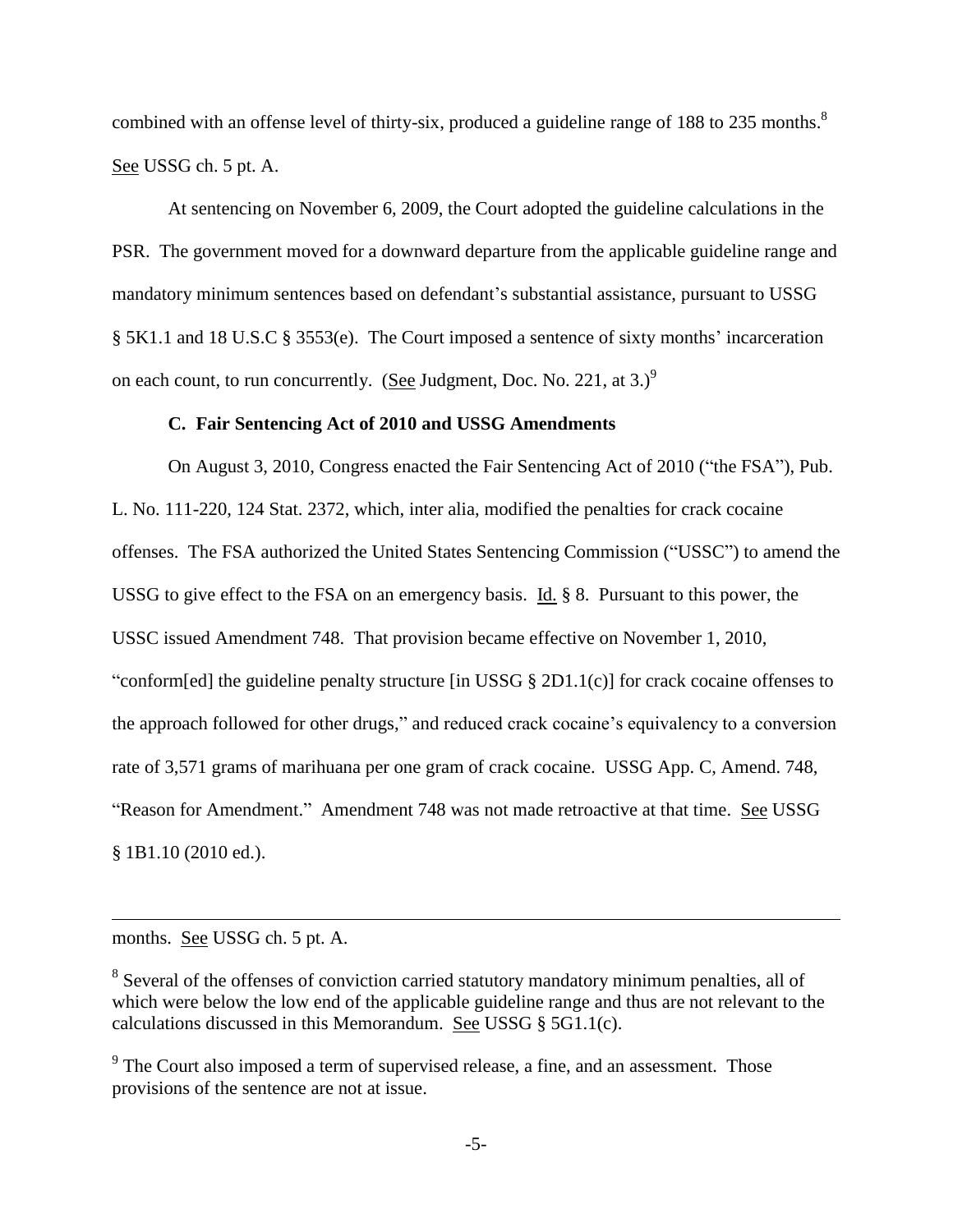combined with an offense level of thirty-six, produced a guideline range of 188 to 235 months.<sup>8</sup> See USSG ch. 5 pt. A.

At sentencing on November 6, 2009, the Court adopted the guideline calculations in the PSR. The government moved for a downward departure from the applicable guideline range and mandatory minimum sentences based on defendant's substantial assistance, pursuant to USSG § 5K1.1 and 18 U.S.C § 3553(e). The Court imposed a sentence of sixty months' incarceration on each count, to run concurrently. (See Judgment, Doc. No. 221, at 3.)<sup>9</sup>

## **C. Fair Sentencing Act of 2010 and USSG Amendments**

On August 3, 2010, Congress enacted the Fair Sentencing Act of 2010 ("the FSA"), Pub. L. No. 111-220, 124 Stat. 2372, which, inter alia, modified the penalties for crack cocaine offenses. The FSA authorized the United States Sentencing Commission ("USSC") to amend the USSG to give effect to the FSA on an emergency basis. Id. § 8. Pursuant to this power, the USSC issued Amendment 748. That provision became effective on November 1, 2010, "conform[ed] the guideline penalty structure [in USSG  $\S 2D1.1(c)$ ] for crack cocaine offenses to the approach followed for other drugs," and reduced crack cocaine's equivalency to a conversion rate of 3,571 grams of marihuana per one gram of crack cocaine. USSG App. C, Amend. 748, "Reason for Amendment." Amendment 748 was not made retroactive at that time. See USSG § 1B1.10 (2010 ed.).

months. See USSG ch. 5 pt. A.

 $\overline{a}$ 

<sup>&</sup>lt;sup>8</sup> Several of the offenses of conviction carried statutory mandatory minimum penalties, all of which were below the low end of the applicable guideline range and thus are not relevant to the calculations discussed in this Memorandum. See USSG § 5G1.1(c).

 $9^9$  The Court also imposed a term of supervised release, a fine, and an assessment. Those provisions of the sentence are not at issue.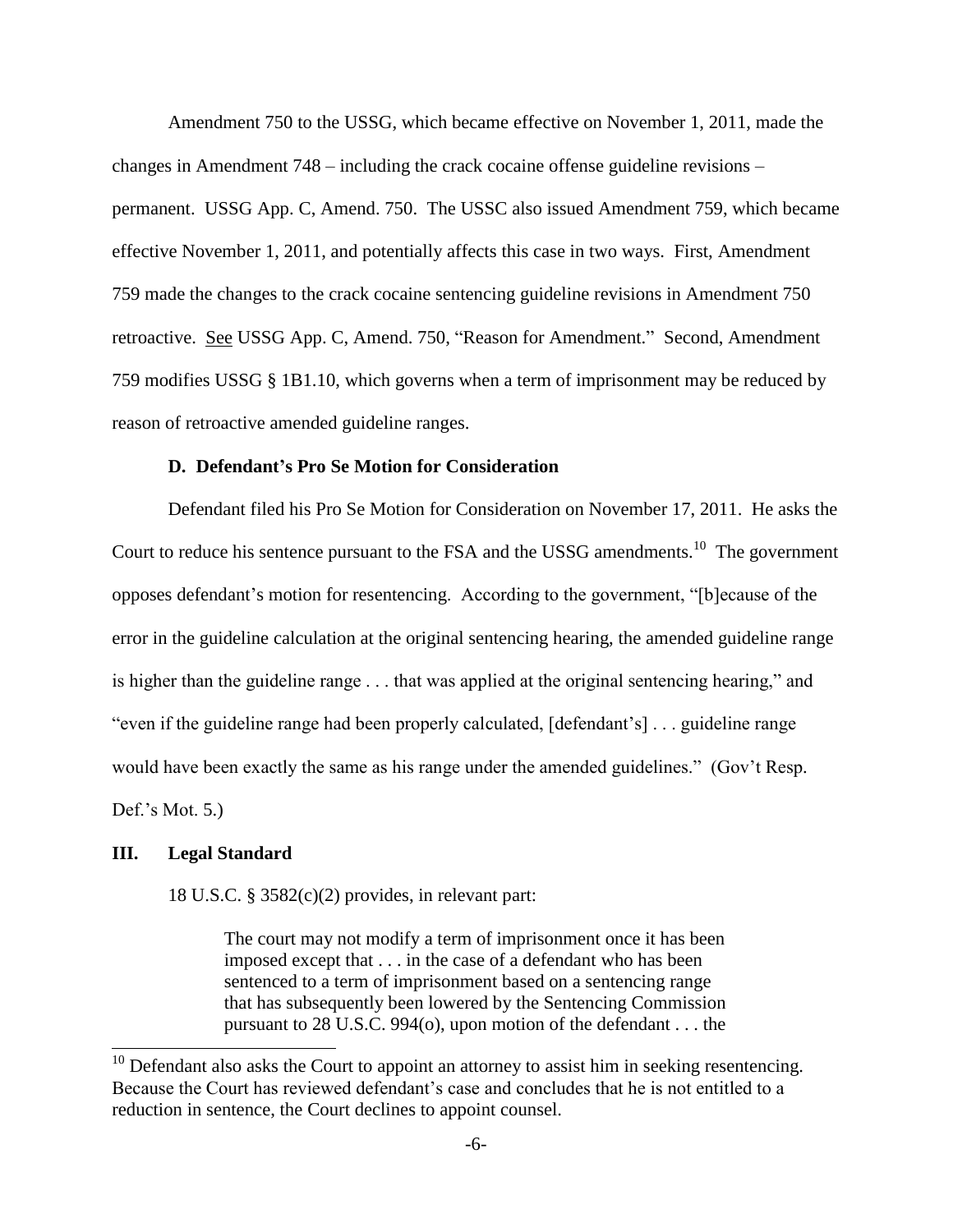Amendment 750 to the USSG, which became effective on November 1, 2011, made the changes in Amendment 748 – including the crack cocaine offense guideline revisions – permanent. USSG App. C, Amend. 750. The USSC also issued Amendment 759, which became effective November 1, 2011, and potentially affects this case in two ways. First, Amendment 759 made the changes to the crack cocaine sentencing guideline revisions in Amendment 750 retroactive. See USSG App. C, Amend. 750, "Reason for Amendment." Second, Amendment 759 modifies USSG § 1B1.10, which governs when a term of imprisonment may be reduced by reason of retroactive amended guideline ranges.

## **D. Defendant's Pro Se Motion for Consideration**

Defendant filed his Pro Se Motion for Consideration on November 17, 2011. He asks the Court to reduce his sentence pursuant to the FSA and the USSG amendments.<sup>10</sup> The government opposes defendant's motion for resentencing. According to the government, "[b]ecause of the error in the guideline calculation at the original sentencing hearing, the amended guideline range is higher than the guideline range  $\dots$  that was applied at the original sentencing hearing," and "even if the guideline range had been properly calculated, [defendant's] . . . guideline range would have been exactly the same as his range under the amended guidelines." (Gov't Resp. Def.'s Mot. 5.)

#### **III. Legal Standard**

 $\overline{a}$ 

18 U.S.C. § 3582(c)(2) provides, in relevant part:

The court may not modify a term of imprisonment once it has been imposed except that . . . in the case of a defendant who has been sentenced to a term of imprisonment based on a sentencing range that has subsequently been lowered by the Sentencing Commission pursuant to 28 U.S.C. 994(o), upon motion of the defendant . . . the

 $10$  Defendant also asks the Court to appoint an attorney to assist him in seeking resentencing. Because the Court has reviewed defendant's case and concludes that he is not entitled to a reduction in sentence, the Court declines to appoint counsel.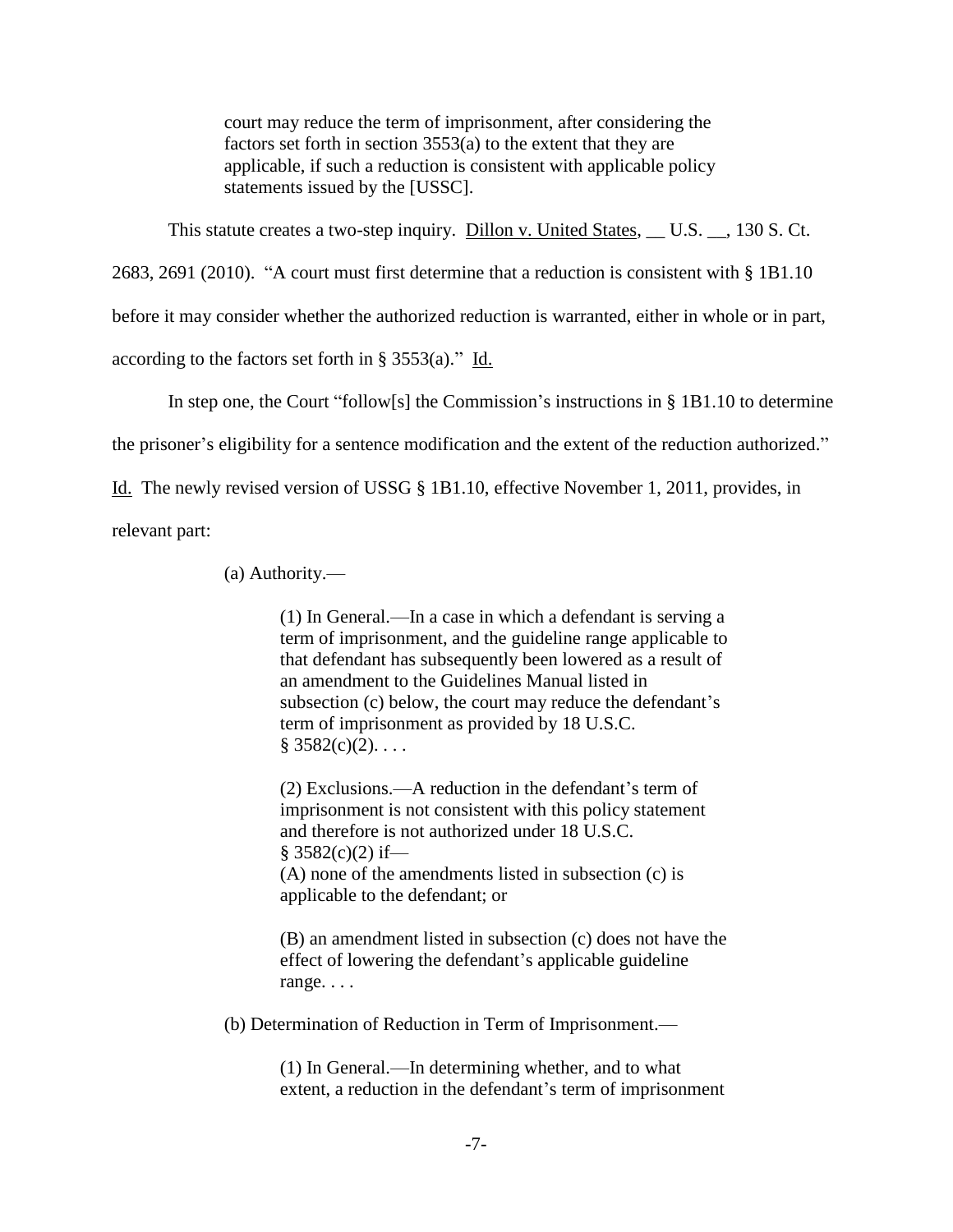court may reduce the term of imprisonment, after considering the factors set forth in section 3553(a) to the extent that they are applicable, if such a reduction is consistent with applicable policy statements issued by the [USSC].

This statute creates a two-step inquiry. Dillon v. United States, \_\_ U.S. \_\_, 130 S. Ct.

2683, 2691 (2010). "A court must first determine that a reduction is consistent with § 1B1.10

before it may consider whether the authorized reduction is warranted, either in whole or in part,

according to the factors set forth in § 3553(a)." Id.

In step one, the Court "follow[s] the Commission's instructions in  $\S$  1B1.10 to determine

the prisoner's eligibility for a sentence modification and the extent of the reduction authorized."

Id. The newly revised version of USSG § 1B1.10, effective November 1, 2011, provides, in

relevant part:

(a) Authority.—

(1) In General.—In a case in which a defendant is serving a term of imprisonment, and the guideline range applicable to that defendant has subsequently been lowered as a result of an amendment to the Guidelines Manual listed in subsection (c) below, the court may reduce the defendant's term of imprisonment as provided by 18 U.S.C.  $§ 3582(c)(2). \ldots$ 

(2) Exclusions.—A reduction in the defendant's term of imprisonment is not consistent with this policy statement and therefore is not authorized under 18 U.S.C.  $§$  3582(c)(2) if— (A) none of the amendments listed in subsection (c) is applicable to the defendant; or

(B) an amendment listed in subsection (c) does not have the effect of lowering the defendant's applicable guideline range. . . .

(b) Determination of Reduction in Term of Imprisonment.—

(1) In General.—In determining whether, and to what extent, a reduction in the defendant's term of imprisonment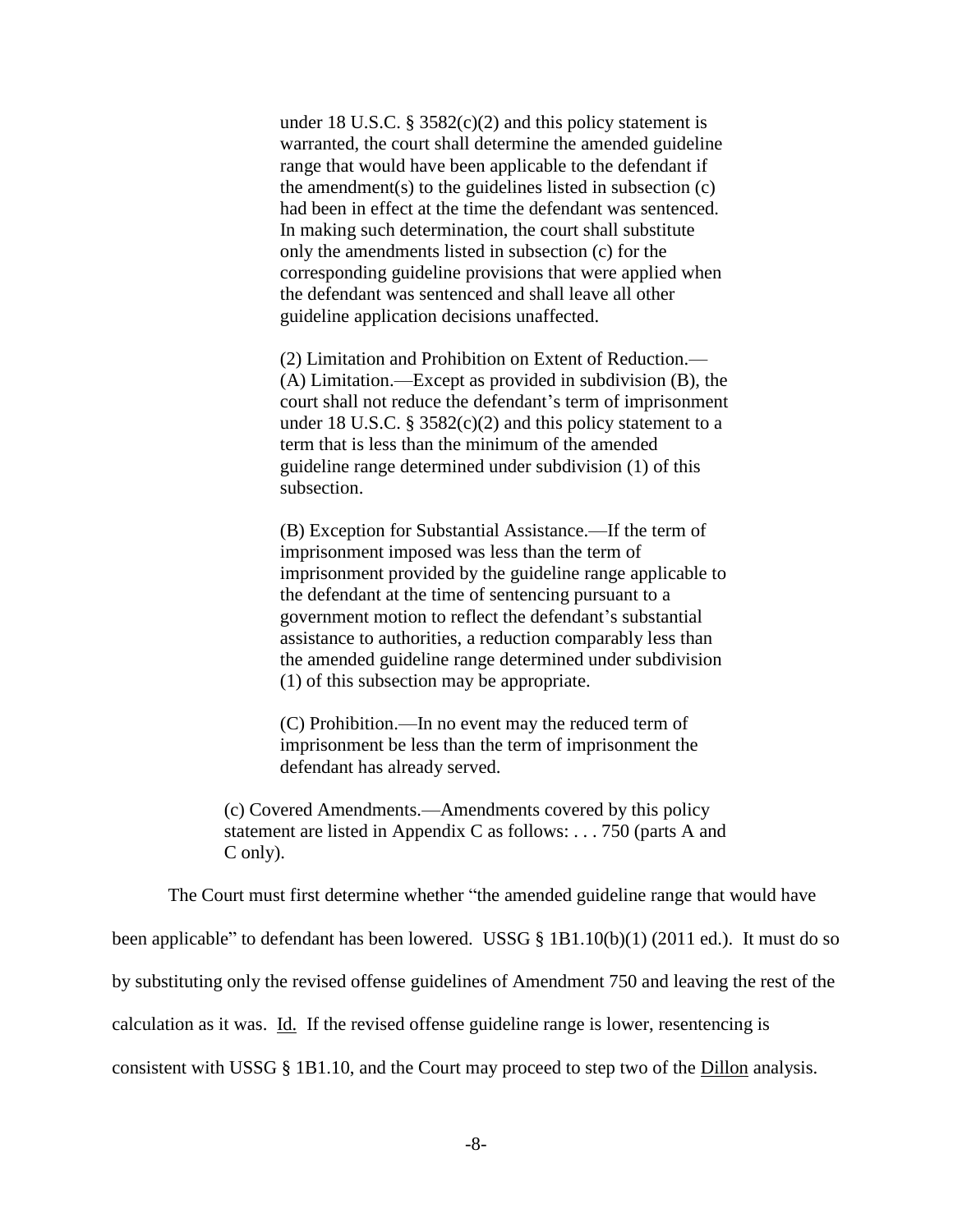under 18 U.S.C. § 3582 $(c)(2)$  and this policy statement is warranted, the court shall determine the amended guideline range that would have been applicable to the defendant if the amendment(s) to the guidelines listed in subsection (c) had been in effect at the time the defendant was sentenced. In making such determination, the court shall substitute only the amendments listed in subsection (c) for the corresponding guideline provisions that were applied when the defendant was sentenced and shall leave all other guideline application decisions unaffected.

(2) Limitation and Prohibition on Extent of Reduction.— (A) Limitation.—Except as provided in subdivision (B), the court shall not reduce the defendant's term of imprisonment under 18 U.S.C. §  $3582(c)(2)$  and this policy statement to a term that is less than the minimum of the amended guideline range determined under subdivision (1) of this subsection.

(B) Exception for Substantial Assistance.—If the term of imprisonment imposed was less than the term of imprisonment provided by the guideline range applicable to the defendant at the time of sentencing pursuant to a government motion to reflect the defendant's substantial assistance to authorities, a reduction comparably less than the amended guideline range determined under subdivision (1) of this subsection may be appropriate.

(C) Prohibition.—In no event may the reduced term of imprisonment be less than the term of imprisonment the defendant has already served.

(c) Covered Amendments.—Amendments covered by this policy statement are listed in Appendix C as follows: . . . 750 (parts A and C only).

The Court must first determine whether "the amended guideline range that would have

been applicable" to defendant has been lowered. USSG  $\S$  1B1.10(b)(1) (2011 ed.). It must do so

by substituting only the revised offense guidelines of Amendment 750 and leaving the rest of the

calculation as it was. Id. If the revised offense guideline range is lower, resentencing is

consistent with USSG § 1B1.10, and the Court may proceed to step two of the Dillon analysis.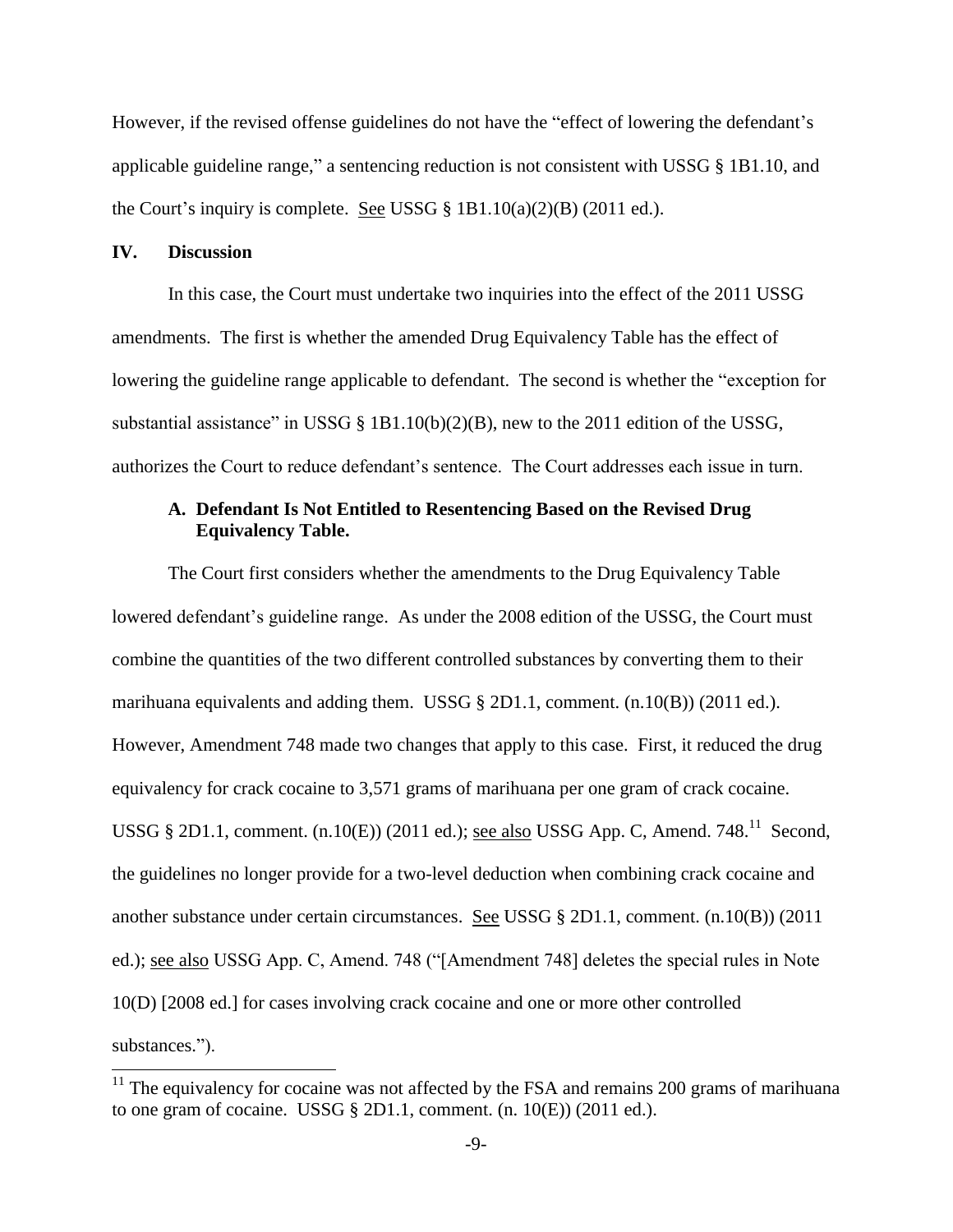However, if the revised offense guidelines do not have the "effect of lowering the defendant's applicable guideline range," a sentencing reduction is not consistent with USSG  $\S$  1B1.10, and the Court's inquiry is complete. See USSG  $\S$  1B1.10(a)(2)(B) (2011 ed.).

## **IV. Discussion**

 $\overline{a}$ 

In this case, the Court must undertake two inquiries into the effect of the 2011 USSG amendments. The first is whether the amended Drug Equivalency Table has the effect of lowering the guideline range applicable to defendant. The second is whether the "exception for substantial assistance" in USSG § 1B1.10(b)(2)(B), new to the 2011 edition of the USSG, authorizes the Court to reduce defendant's sentence. The Court addresses each issue in turn.

# **A. Defendant Is Not Entitled to Resentencing Based on the Revised Drug Equivalency Table.**

The Court first considers whether the amendments to the Drug Equivalency Table lowered defendant's guideline range. As under the 2008 edition of the USSG, the Court must combine the quantities of the two different controlled substances by converting them to their marihuana equivalents and adding them. USSG  $\S$  2D1.1, comment. (n.10(B)) (2011 ed.). However, Amendment 748 made two changes that apply to this case. First, it reduced the drug equivalency for crack cocaine to 3,571 grams of marihuana per one gram of crack cocaine. USSG  $\S 2D1.1$ , comment. (n.10(E)) (2011 ed.); <u>see also</u> USSG App. C, Amend. 748.<sup>11</sup> Second, the guidelines no longer provide for a two-level deduction when combining crack cocaine and another substance under certain circumstances. See USSG § 2D1.1, comment. (n.10(B)) (2011 ed.); see also USSG App. C, Amend. 748 ("[Amendment 748] deletes the special rules in Note 10(D) [2008 ed.] for cases involving crack cocaine and one or more other controlled substances.").

 $11$  The equivalency for cocaine was not affected by the FSA and remains 200 grams of marihuana to one gram of cocaine. USSG  $\S 2D1.1$ , comment. (n. 10(E)) (2011 ed.).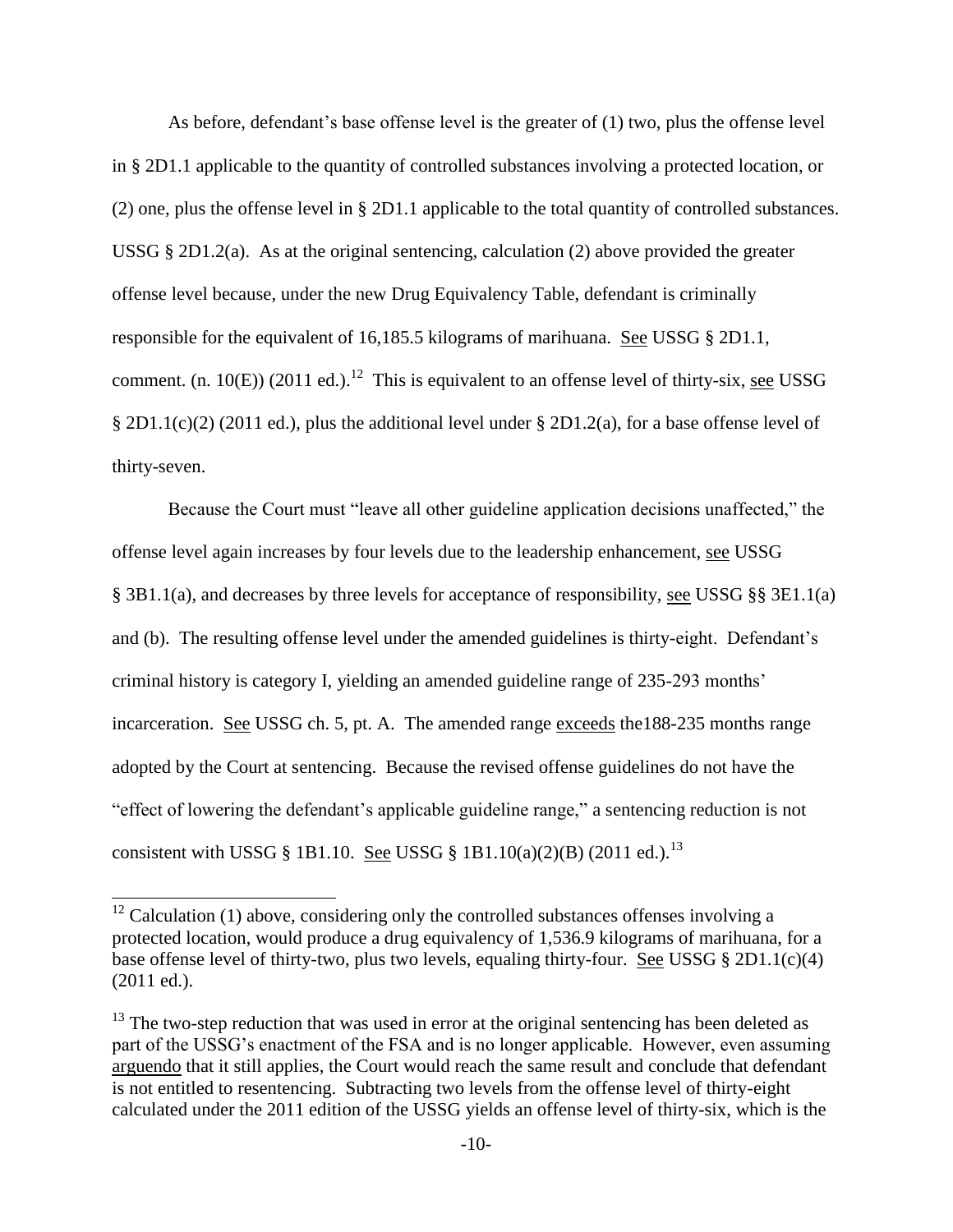As before, defendant's base offense level is the greater of (1) two, plus the offense level in § 2D1.1 applicable to the quantity of controlled substances involving a protected location, or (2) one, plus the offense level in § 2D1.1 applicable to the total quantity of controlled substances. USSG  $\S 2D1.2(a)$ . As at the original sentencing, calculation (2) above provided the greater offense level because, under the new Drug Equivalency Table, defendant is criminally responsible for the equivalent of 16,185.5 kilograms of marihuana. See USSG § 2D1.1, comment. (n. 10 $(E)$ ) (2011 ed.).<sup>12</sup> This is equivalent to an offense level of thirty-six, see USSG § 2D1.1(c)(2) (2011 ed.), plus the additional level under § 2D1.2(a), for a base offense level of thirty-seven.

Because the Court must "leave all other guideline application decisions unaffected," the offense level again increases by four levels due to the leadership enhancement, see USSG § 3B1.1(a), and decreases by three levels for acceptance of responsibility, see USSG §§ 3E1.1(a) and (b). The resulting offense level under the amended guidelines is thirty-eight. Defendant's criminal history is category I, yielding an amended guideline range of 235-293 months' incarceration. See USSG ch. 5, pt. A. The amended range exceeds the 188-235 months range adopted by the Court at sentencing. Because the revised offense guidelines do not have the "effect of lowering the defendant's applicable guideline range," a sentencing reduction is not consistent with USSG § 1B1.10. See USSG § 1B1.10(a)(2)(B) (2011 ed.).<sup>13</sup>

 $\overline{a}$ 

 $12$  Calculation (1) above, considering only the controlled substances offenses involving a protected location, would produce a drug equivalency of 1,536.9 kilograms of marihuana, for a base offense level of thirty-two, plus two levels, equaling thirty-four. See USSG § 2D1.1(c)(4) (2011 ed.).

 $13$  The two-step reduction that was used in error at the original sentencing has been deleted as part of the USSG's enactment of the FSA and is no longer applicable. However, even assuming arguendo that it still applies, the Court would reach the same result and conclude that defendant is not entitled to resentencing. Subtracting two levels from the offense level of thirty-eight calculated under the 2011 edition of the USSG yields an offense level of thirty-six, which is the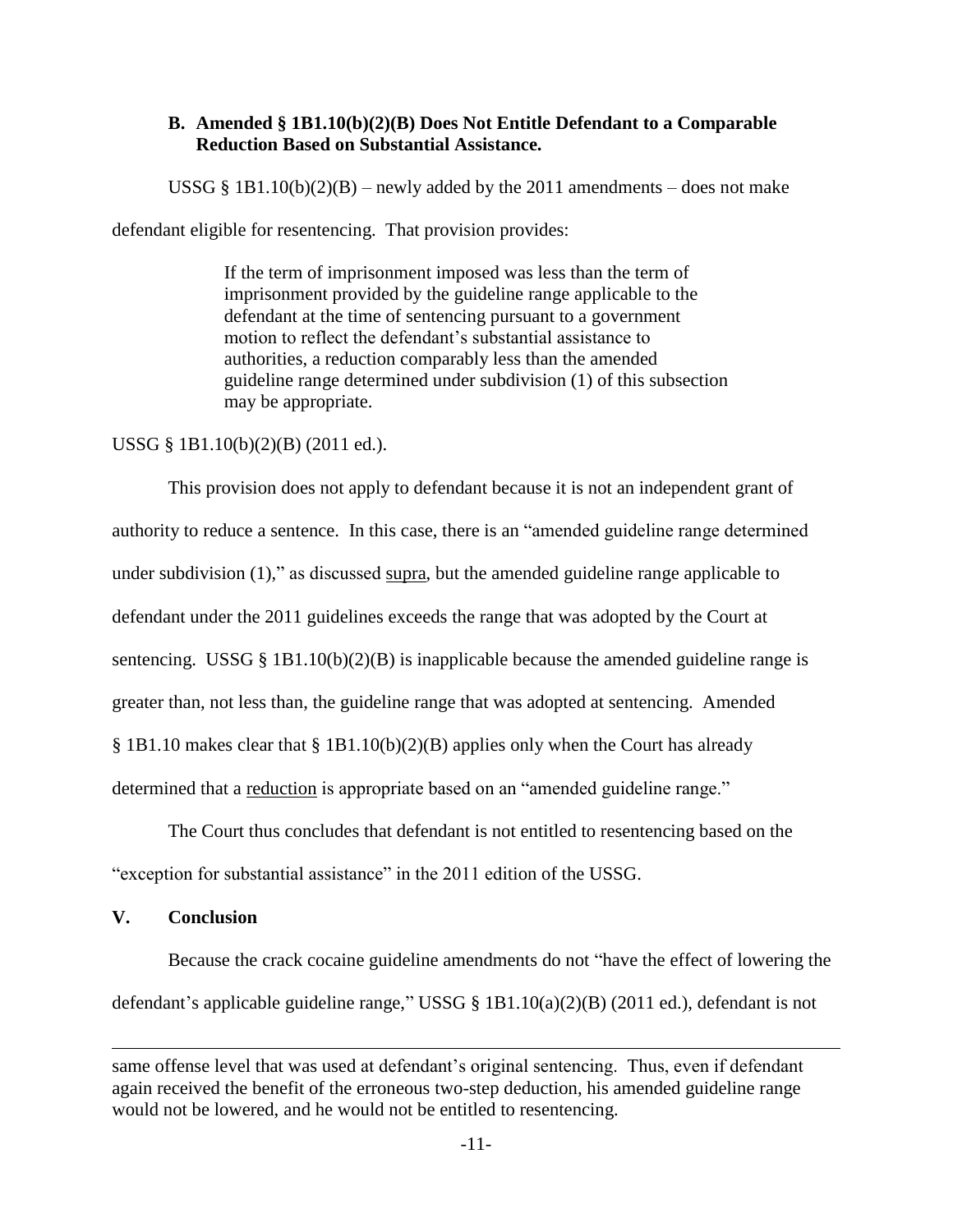## **B. Amended § 1B1.10(b)(2)(B) Does Not Entitle Defendant to a Comparable Reduction Based on Substantial Assistance.**

USSG § 1B1.10(b)(2)(B) – newly added by the 2011 amendments – does not make

defendant eligible for resentencing. That provision provides:

If the term of imprisonment imposed was less than the term of imprisonment provided by the guideline range applicable to the defendant at the time of sentencing pursuant to a government motion to reflect the defendant's substantial assistance to authorities, a reduction comparably less than the amended guideline range determined under subdivision (1) of this subsection may be appropriate.

# USSG § 1B1.10(b)(2)(B) (2011 ed.).

This provision does not apply to defendant because it is not an independent grant of authority to reduce a sentence. In this case, there is an "amended guideline range determined under subdivision  $(1)$ ," as discussed supra, but the amended guideline range applicable to defendant under the 2011 guidelines exceeds the range that was adopted by the Court at sentencing. USSG § 1B1.10(b)(2)(B) is inapplicable because the amended guideline range is greater than, not less than, the guideline range that was adopted at sentencing. Amended § 1B1.10 makes clear that § 1B1.10(b)(2)(B) applies only when the Court has already determined that a reduction is appropriate based on an "amended guideline range."

The Court thus concludes that defendant is not entitled to resentencing based on the "exception for substantial assistance" in the 2011 edition of the USSG.

## **V. Conclusion**

 $\overline{a}$ 

Because the crack cocaine guideline amendments do not "have the effect of lowering the defendant's applicable guideline range," USSG  $\S$  1B1.10(a)(2)(B) (2011 ed.), defendant is not

same offense level that was used at defendant's original sentencing. Thus, even if defendant again received the benefit of the erroneous two-step deduction, his amended guideline range would not be lowered, and he would not be entitled to resentencing.